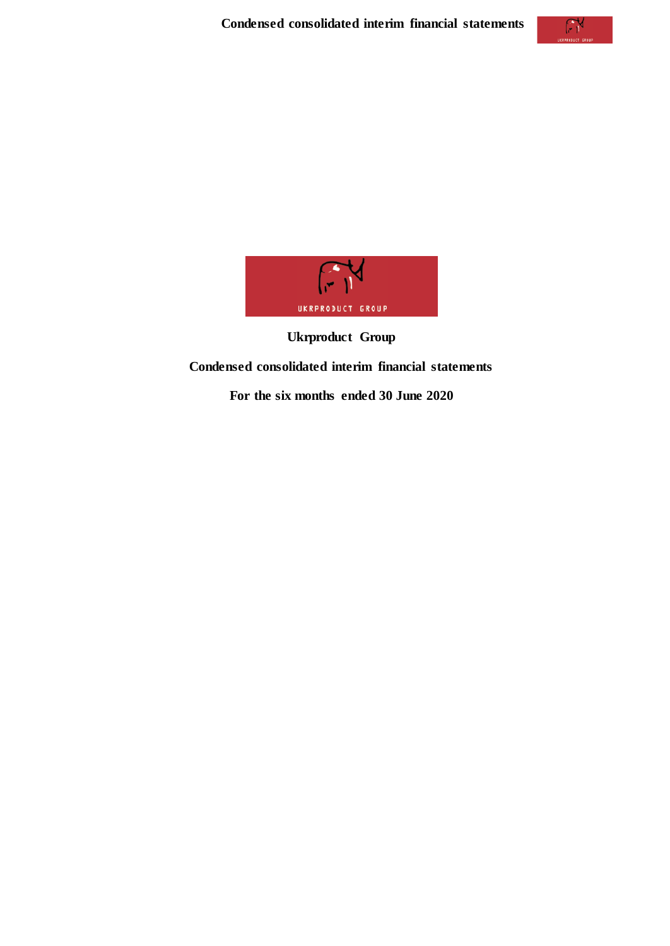

**Ukrproduct Group Condensed consolidated interim financial statements For the six months ended 30 June 2020**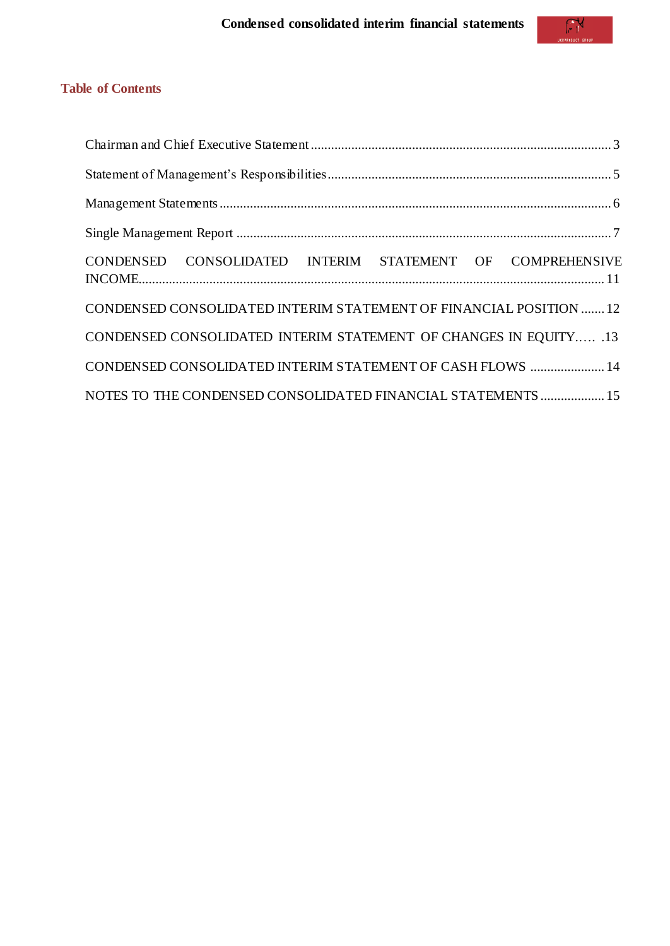## **Table of Contents**

| CONDENSED CONSOLIDATED INTERIM STATEMENT OF COMPREHENSIVE          |
|--------------------------------------------------------------------|
| CONDENSED CONSOLIDATED INTERIM STATEMENT OF FINANCIAL POSITION  12 |
| CONDENSED CONSOLIDATED INTERIM STATEMENT OF CHANGES IN EQUITY .13  |
| CONDENSED CONSOLIDATED INTERIM STATEMENT OF CASH FLOWS  14         |
| NOTES TO THE CONDENSED CONSOLIDATED FINANCIAL STATEMENTS  15       |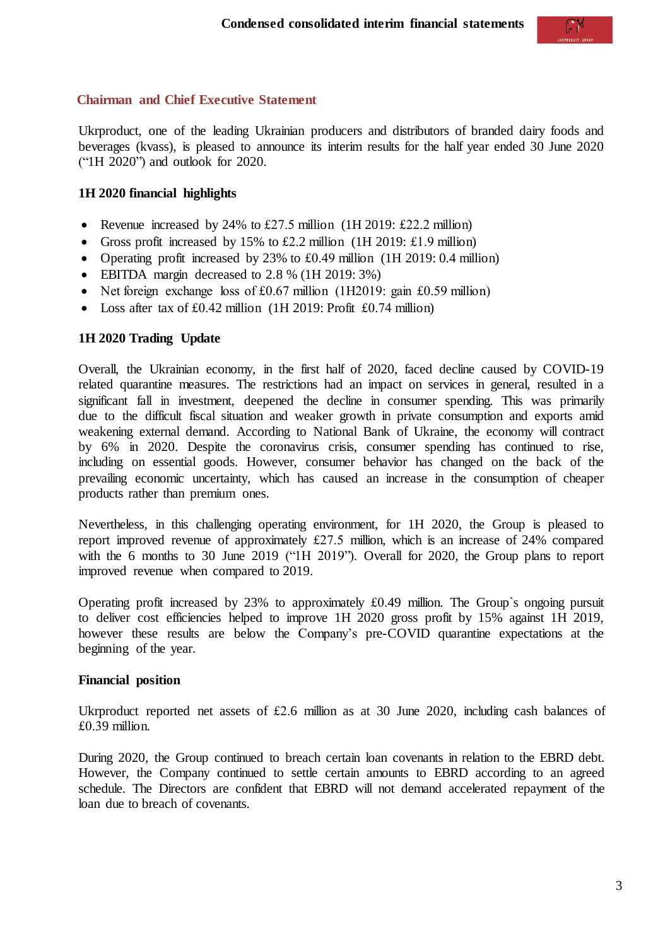<span id="page-2-0"></span>**Chairman and Chief Executive Statement**

Ukrproduct, one of the leading Ukrainian producers and distributors of branded dairy foods and beverages (kvass), is pleased to announce its interim results for the half year ended 30 June 2020 ("1H 2020") and outlook for 2020.

### **1H 2020 financial highlights**

- Revenue increased by 24% to £27.5 million (1H 2019: £22.2 million)
- Gross profit increased by 15% to £2.2 million (1H 2019: £1.9 million)
- Operating profit increased by 23% to £0.49 million (1H 2019: 0.4 million)
- EBITDA margin decreased to 2.8 % (1H 2019: 3%)
- Net foreign exchange loss of  $£0.67$  million (1H2019: gain £0.59 million)
- Loss after tax of £0.42 million (1H 2019: Profit £0.74 million)

### **1H 2020 Trading Update**

Overall, the Ukrainian economy, in the first half of 2020, faced decline caused by COVID-19 related quarantine measures. The restrictions had an impact on services in general, resulted in a significant fall in investment, deepened the decline in consumer spending. This was primarily due to the difficult fiscal situation and weaker growth in private consumption and exports amid weakening external demand. According to National Bank of Ukraine, the economy will contract by 6% in 2020. Despite the coronavirus crisis, consumer spending has continued to rise, including on essential goods. However, consumer behavior has changed on the back of the prevailing economic uncertainty, which has caused an increase in the consumption of cheaper products rather than premium ones.

Nevertheless, in this challenging operating environment, for 1H 2020, the Group is pleased to report improved revenue of approximately £27.5 million, which is an increase of 24% compared with the 6 months to 30 June 2019 ("1H 2019"). Overall for 2020, the Group plans to report improved revenue when compared to 2019.

Operating profit increased by 23% to approximately £0.49 million. The Group`s ongoing pursuit to deliver cost efficiencies helped to improve 1H 2020 gross profit by 15% against 1H 2019, however these results are below the Company's pre-COVID quarantine expectations at the beginning of the year.

#### **Financial position**

Ukrproduct reported net assets of £2.6 million as at 30 June 2020, including cash balances of £0.39 million.

During 2020, the Group continued to breach certain loan covenants in relation to the EBRD debt. However, the Company continued to settle certain amounts to EBRD according to an agreed schedule. The Directors are confident that EBRD will not demand accelerated repayment of the loan due to breach of covenants.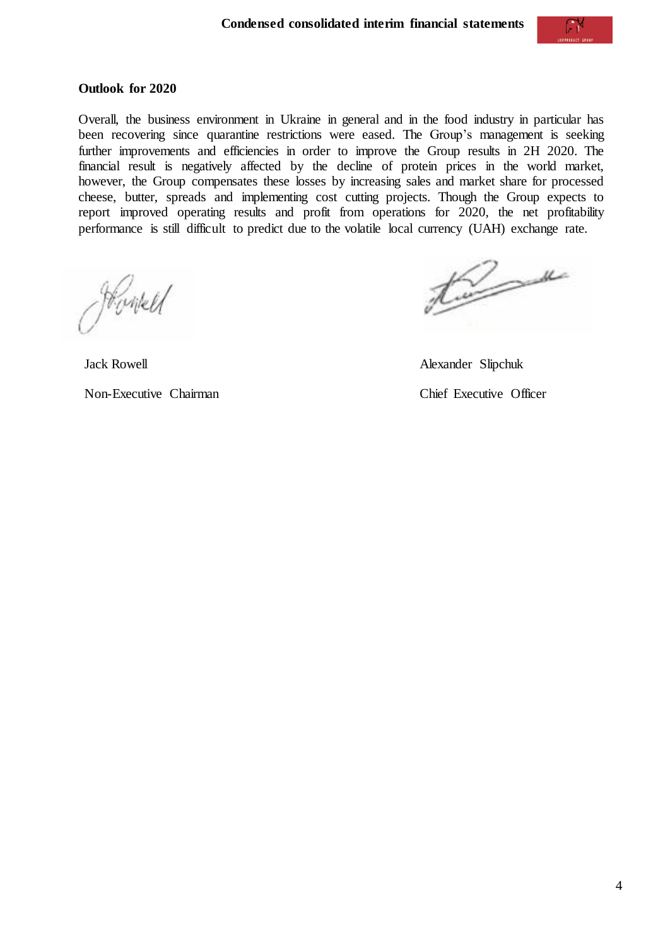#### **Outlook for 2020**

Overall, the business environment in Ukraine in general and in the food industry in particular has been recovering since quarantine restrictions were eased. The Group's management is seeking further improvements and efficiencies in order to improve the Group results in 2H 2020. The financial result is negatively affected by the decline of protein prices in the world market, however, the Group compensates these losses by increasing sales and market share for processed cheese, butter, spreads and implementing cost cutting projects. Though the Group expects to report improved operating results and profit from operations for 2020, the net profitability performance is still difficult to predict due to the volatile local currency (UAH) exchange rate.

Howell

Kuma

Jack Rowell **Alexander Slipchuk** 

Non-Executive Chairman Chief Executive Officer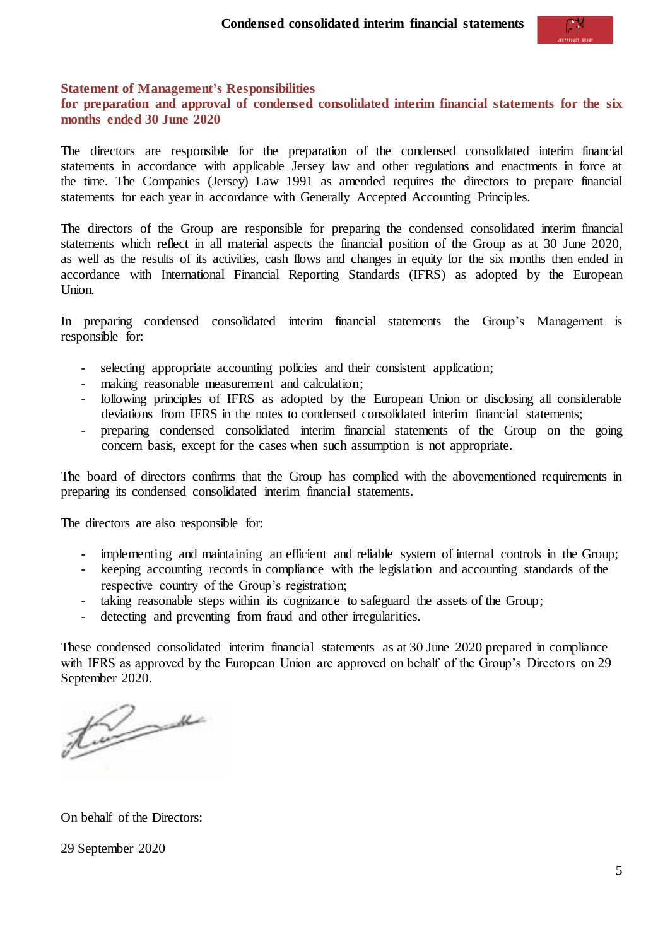

#### <span id="page-4-0"></span>**Statement of Management's Responsibilities**

**for preparation and approval of condensed consolidated interim financial statements for the six months ended 30 June 2020**

The directors are responsible for the preparation of the condensed consolidated interim financial statements in accordance with applicable Jersey law and other regulations and enactments in force at the time. The Companies (Jersey) Law 1991 as amended requires the directors to prepare financial statements for each year in accordance with Generally Accepted Accounting Principles.

The directors of the Group are responsible for preparing the condensed consolidated interim financial statements which reflect in all material aspects the financial position of the Group as at 30 June 2020, as well as the results of its activities, cash flows and changes in equity for the six months then ended in accordance with International Financial Reporting Standards (IFRS) as adopted by the European Union.

In preparing condensed consolidated interim financial statements the Group's Management is responsible for:

- selecting appropriate accounting policies and their consistent application;
- making reasonable measurement and calculation;
- following principles of IFRS as adopted by the European Union or disclosing all considerable deviations from IFRS in the notes to condensed consolidated interim financial statements;
- preparing condensed consolidated interim financial statements of the Group on the going concern basis, except for the cases when such assumption is not appropriate.

The board of directors confirms that the Group has complied with the abovementioned requirements in preparing its condensed consolidated interim financial statements.

The directors are also responsible for:

- implementing and maintaining an efficient and reliable system of internal controls in the Group;
- keeping accounting records in compliance with the legislation and accounting standards of the respective country of the Group's registration;
- taking reasonable steps within its cognizance to safeguard the assets of the Group;
- detecting and preventing from fraud and other irregularities.

These condensed consolidated interim financial statements as at 30 June 2020 prepared in compliance with IFRS as approved by the European Union are approved on behalf of the Group's Directors on 29 September 2020.

twee

On behalf of the Directors:

29 September 2020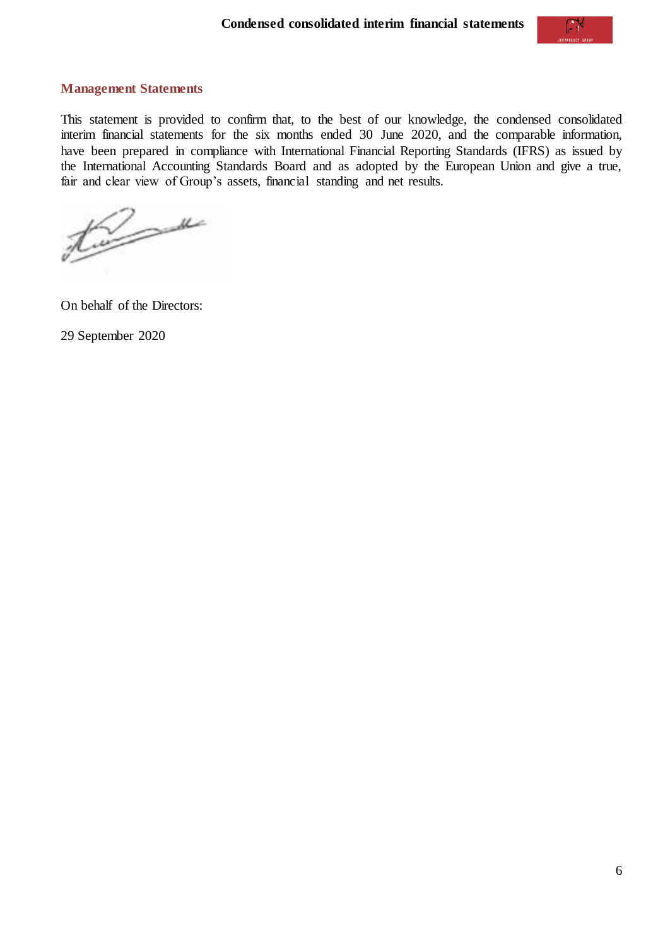### <span id="page-5-0"></span>**Management Statements**

This statement is provided to confirm that, to the best of our knowledge, the condensed consolidated interim financial statements for the six months ended 30 June 2020, and the comparable information, have been prepared in compliance with International Financial Reporting Standards (IFRS) as issued by the International Accounting Standards Board and as adopted by the European Union and give a true, fair and clear view of Group's assets, financial standing and net results.

twee

On behalf of the Directors:

29 September 2020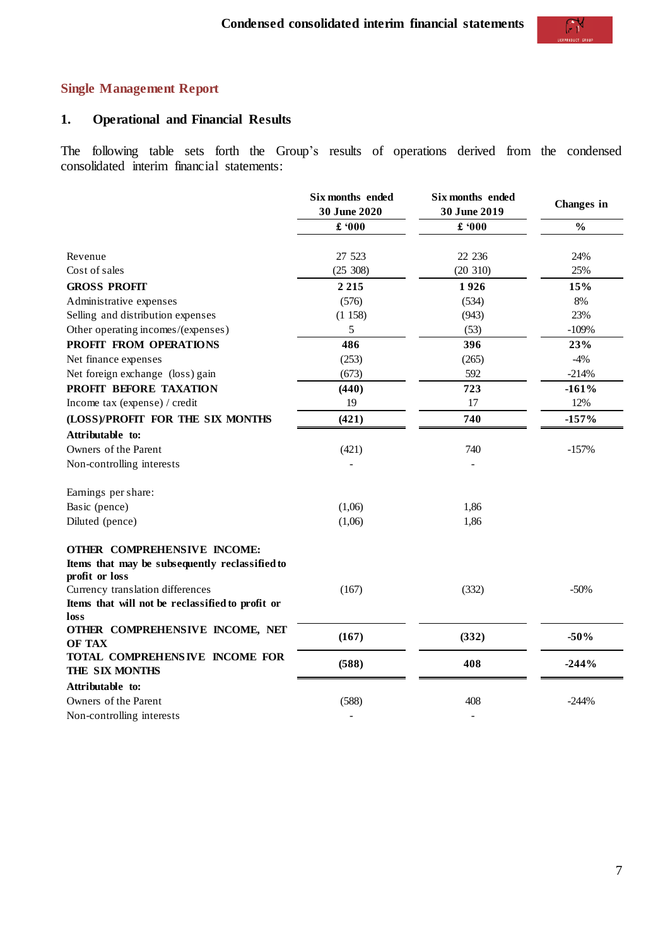# <span id="page-6-0"></span>**Single Management Report**

# **1. Operational and Financial Results**

The following table sets forth the Group's results of operations derived from the condensed consolidated interim financial statements:

|                                                                                                 | Six months ended<br>30 June 2020 | Six months ended<br>30 June 2019 | Changes in    |
|-------------------------------------------------------------------------------------------------|----------------------------------|----------------------------------|---------------|
|                                                                                                 | £ 000                            | £ 000                            | $\frac{0}{0}$ |
| Revenue                                                                                         | 27 523                           | 22 23 6                          | 24%           |
| Cost of sales                                                                                   | (25 308)                         | (20 310)                         | 25%           |
| <b>GROSS PROFIT</b>                                                                             | 2 2 1 5                          | 1926                             | 15%           |
| Administrative expenses                                                                         | (576)                            | (534)                            | 8%            |
| Selling and distribution expenses                                                               | (1158)                           | (943)                            | 23%           |
| Other operating incomes/(expenses)                                                              | 5                                | (53)                             | $-109%$       |
| PROFIT FROM OPERATIONS                                                                          | 486                              | 396                              | 23%           |
| Net finance expenses                                                                            | (253)                            | (265)                            | $-4%$         |
| Net foreign exchange (loss) gain                                                                | (673)                            | 592                              | $-214%$       |
| PROFIT BEFORE TAXATION                                                                          | (440)                            | 723                              | $-161%$       |
| Income tax (expense) / credit                                                                   | 19                               | 17                               | 12%           |
| (LOSS)/PROFIT FOR THE SIX MONTHS                                                                | (421)                            | 740                              | $-157%$       |
| Attributable to:                                                                                |                                  |                                  |               |
| Owners of the Parent                                                                            | (421)                            | 740                              | $-157%$       |
| Non-controlling interests                                                                       |                                  |                                  |               |
| Earnings per share:                                                                             |                                  |                                  |               |
| Basic (pence)                                                                                   | (1,06)                           | 1,86                             |               |
| Diluted (pence)                                                                                 | (1,06)                           | 1,86                             |               |
| OTHER COMPREHENSIVE INCOME:<br>Items that may be subsequently reclassified to<br>profit or loss |                                  |                                  |               |
| Currency translation differences<br>Items that will not be reclassified to profit or<br>loss    | (167)                            | (332)                            | $-50%$        |
| OTHER COMPREHENSIVE INCOME, NET<br><b>OF TAX</b>                                                | (167)                            | (332)                            | $-50%$        |
| TOTAL COMPREHENSIVE INCOME FOR<br>THE SIX MONTHS                                                | (588)                            | 408                              | $-244%$       |
| Attributable to:                                                                                |                                  |                                  |               |
| Owners of the Parent                                                                            | (588)                            | 408                              | $-244%$       |
| Non-controlling interests                                                                       |                                  |                                  |               |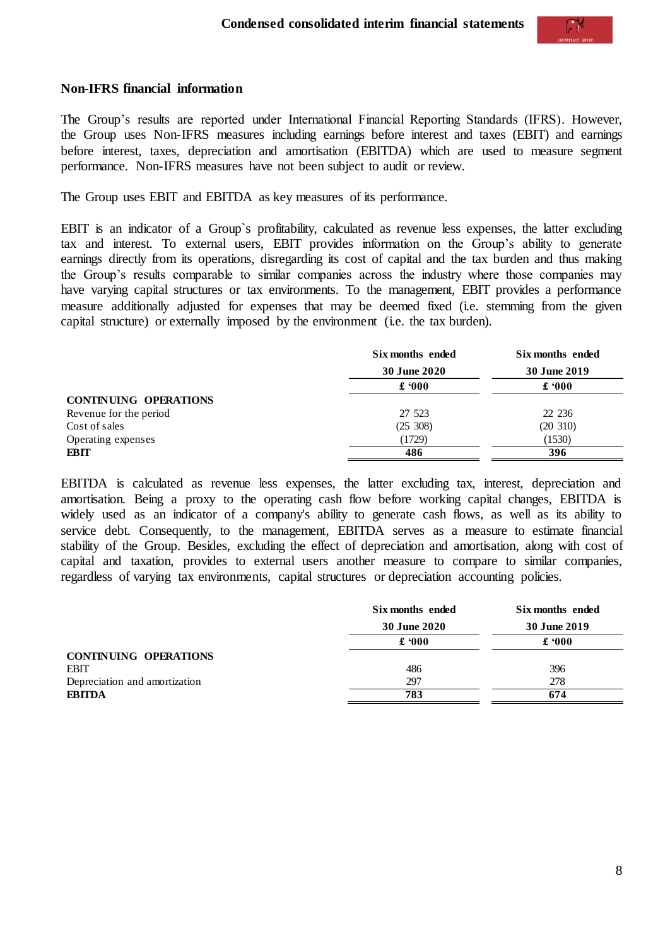#### **Non-IFRS financial information**

The Group's results are reported under International Financial Reporting Standards (IFRS). However, the Group uses Non-IFRS measures including earnings before interest and taxes (EBIT) and earnings before interest, taxes, depreciation and amortisation (EBITDA) which are used to measure segment performance. Non-IFRS measures have not been subject to audit or review.

The Group uses EBIT and EBITDA as key measures of its performance.

EBIT is an indicator of a Group`s profitability, calculated as revenue less expenses, the latter excluding tax and interest. To external users, EBIT provides information on the Group's ability to generate earnings directly from its operations, disregarding its cost of capital and the tax burden and thus making the Group's results comparable to similar companies across the industry where those companies may have varying capital structures or tax environments. To the management, EBIT provides a performance measure additionally adjusted for expenses that may be deemed fixed (i.e. stemming from the given capital structure) or externally imposed by the environment (i.e. the tax burden).

|                              | Six months ended | Six months ended |
|------------------------------|------------------|------------------|
|                              | 30 June 2020     | 30 June 2019     |
|                              | $\pounds 000$    | $\pounds 000$    |
| <b>CONTINUING OPERATIONS</b> |                  |                  |
| Revenue for the period       | 27 523           | 22 236           |
| Cost of sales                | (25, 308)        | (20 310)         |
| Operating expenses           | (1729)           | (1530)           |
| EBIT                         | 486              | 396              |

EBITDA is calculated as revenue less expenses, the latter excluding tax, interest, depreciation and amortisation. Being a proxy to the operating cash flow before working capital changes, EBITDA is widely used as an indicator of a company's ability to generate cash flows, as well as its ability to service debt. Consequently, to the management, EBITDA serves as a measure to estimate financial stability of the Group. Besides, excluding the effect of depreciation and amortisation, along with cost of capital and taxation, provides to external users another measure to compare to similar companies, regardless of varying tax environments, capital structures or depreciation accounting policies.

|                               | Six months ended | Six months ended |
|-------------------------------|------------------|------------------|
|                               | 30 June 2020     | 30 June 2019     |
|                               | $\pounds 000$    | $\pounds 000$    |
| <b>CONTINUING OPERATIONS</b>  |                  |                  |
| <b>EBIT</b>                   | 486              | 396              |
| Depreciation and amortization | 297              | 278              |
| <b>EBITDA</b>                 | 783              | 674              |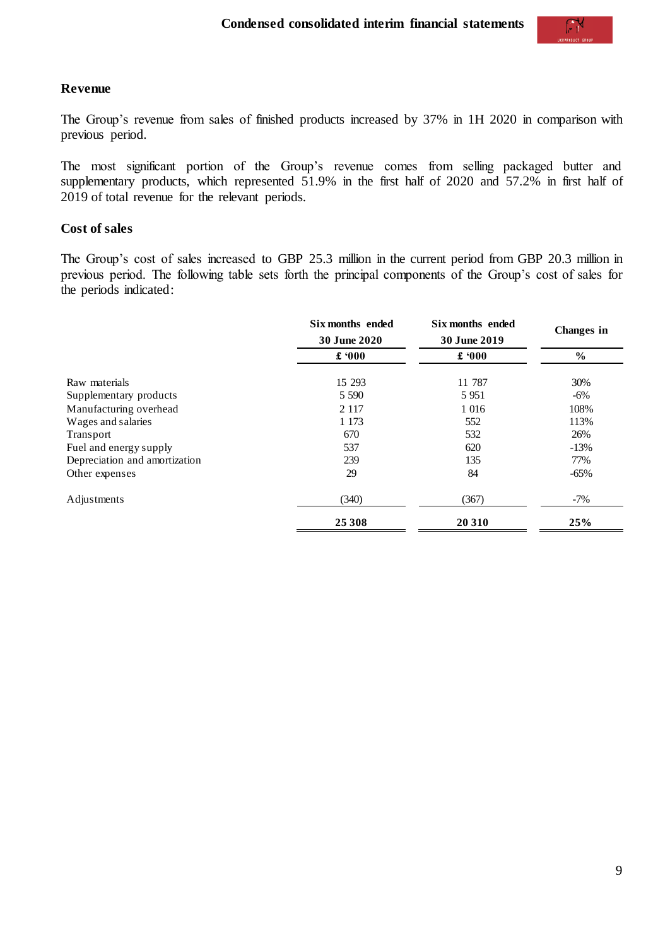### **Revenue**

The Group's revenue from sales of finished products increased by 37% in 1H 2020 in comparison with previous period.

The most significant portion of the Group's revenue comes from selling packaged butter and supplementary products, which represented 51.9% in the first half of 2020 and 57.2% in first half of 2019 of total revenue for the relevant periods.

### **Cost of sales**

The Group's cost of sales increased to GBP 25.3 million in the current period from GBP 20.3 million in previous period. The following table sets forth the principal components of the Group's cost of sales for the periods indicated:

|                               | Six months ended<br><b>30 June 2020</b> | Six months ended<br>30 June 2019 | Changes in     |
|-------------------------------|-----------------------------------------|----------------------------------|----------------|
|                               | $\pounds 000$                           | £ $000$                          | $\frac{6}{10}$ |
| Raw materials                 | 15 29 3                                 | 11 787                           | 30%            |
| Supplementary products        | 5 5 9 0                                 | 5951                             | $-6\%$         |
| Manufacturing overhead        | 2 1 1 7                                 | 1 0 1 6                          | 108%           |
| Wages and salaries            | 1 1 7 3                                 | 552                              | 113%           |
| Transport                     | 670                                     | 532                              | 26%            |
| Fuel and energy supply        | 537                                     | 620                              | $-13%$         |
| Depreciation and amortization | 239                                     | 135                              | 77%            |
| Other expenses                | 29                                      | 84                               | $-65\%$        |
| Adjustments                   | (340)                                   | (367)                            | $-7\%$         |
|                               | 25 308                                  | 20 310                           | 25%            |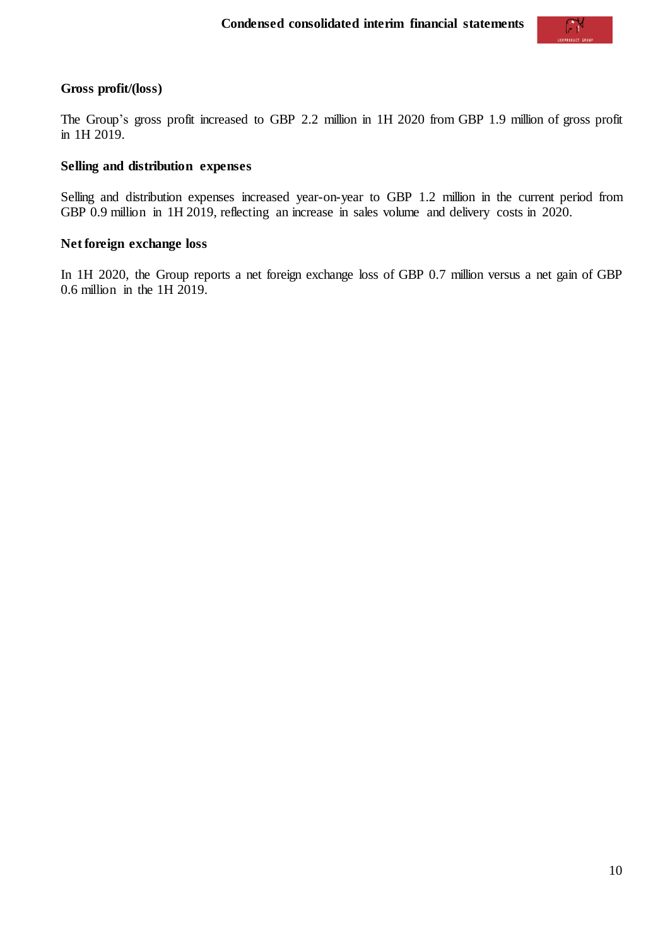### **Gross profit/(loss)**

The Group's gross profit increased to GBP 2.2 million in 1H 2020 from GBP 1.9 million of gross profit in 1H 2019.

## **Selling and distribution expenses**

Selling and distribution expenses increased year-on-year to GBP 1.2 million in the current period from GBP 0.9 million in 1H 2019, reflecting an increase in sales volume and delivery costs in 2020.

#### **Net foreign exchange loss**

In 1H 2020, the Group reports a net foreign exchange loss of GBP 0.7 million versus a net gain of GBP 0.6 million in the 1H 2019.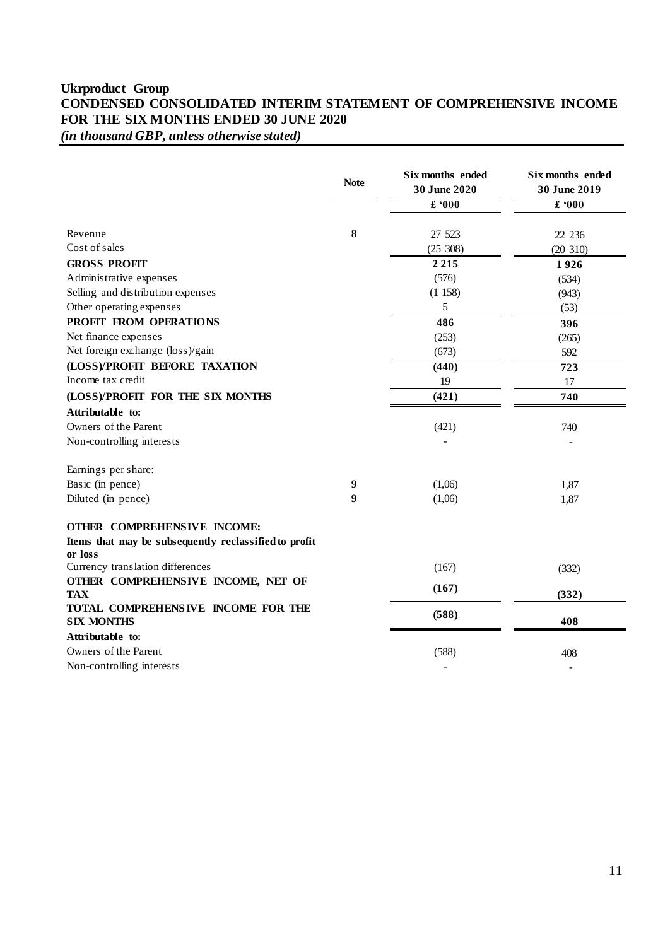## <span id="page-10-0"></span>**Ukrproduct Group CONDENSED CONSOLIDATED INTERIM STATEMENT OF COMPREHENSIVE INCOME FOR THE SIX MONTHS ENDED 30 JUNE 2020** *(in thousand GBP, unless otherwise stated)*

|                                                                  | <b>Note</b> | Six months ended<br>30 June 2020 | Six months ended<br>30 June 2019 |
|------------------------------------------------------------------|-------------|----------------------------------|----------------------------------|
|                                                                  |             | £ 000                            | $\pmb{\pounds}$ '000             |
| Revenue                                                          | 8           | 27 523                           | 22 236                           |
| Cost of sales                                                    |             | (25 308)                         | (20 310)                         |
| <b>GROSS PROFIT</b>                                              |             | 2 2 1 5                          | 1926                             |
| Administrative expenses                                          |             | (576)                            | (534)                            |
| Selling and distribution expenses                                |             | (1158)                           | (943)                            |
| Other operating expenses                                         |             | 5                                | (53)                             |
| PROFIT FROM OPERATIONS                                           |             | 486                              | 396                              |
| Net finance expenses                                             |             | (253)                            | (265)                            |
| Net foreign exchange (loss)/gain                                 |             | (673)                            | 592                              |
| (LOSS)/PROFIT BEFORE TAXATION                                    |             | (440)                            | 723                              |
| Income tax credit                                                |             | 19                               | 17                               |
| (LOSS)/PROFIT FOR THE SIX MONTHS                                 |             | (421)                            | 740                              |
| Attributable to:                                                 |             |                                  |                                  |
| Owners of the Parent                                             |             | (421)                            | 740                              |
| Non-controlling interests                                        |             |                                  |                                  |
| Earnings per share:                                              |             |                                  |                                  |
| Basic (in pence)                                                 | 9           | (1,06)                           | 1,87                             |
| Diluted (in pence)                                               | 9           | (1,06)                           | 1,87                             |
| OTHER COMPREHENSIVE INCOME:                                      |             |                                  |                                  |
| Items that may be subsequently reclassified to profit<br>or loss |             |                                  |                                  |
| Currency translation differences                                 |             | (167)                            | (332)                            |
| OTHER COMPREHENSIVE INCOME, NET OF                               |             | (167)                            |                                  |
| <b>TAX</b><br>TOTAL COMPREHENSIVE INCOME FOR THE                 |             |                                  | (332)                            |
| <b>SIX MONTHS</b>                                                |             | (588)                            | 408                              |
| Attributable to:                                                 |             |                                  |                                  |
| Owners of the Parent                                             |             | (588)                            | 408                              |
| Non-controlling interests                                        |             | $\overline{\phantom{a}}$         |                                  |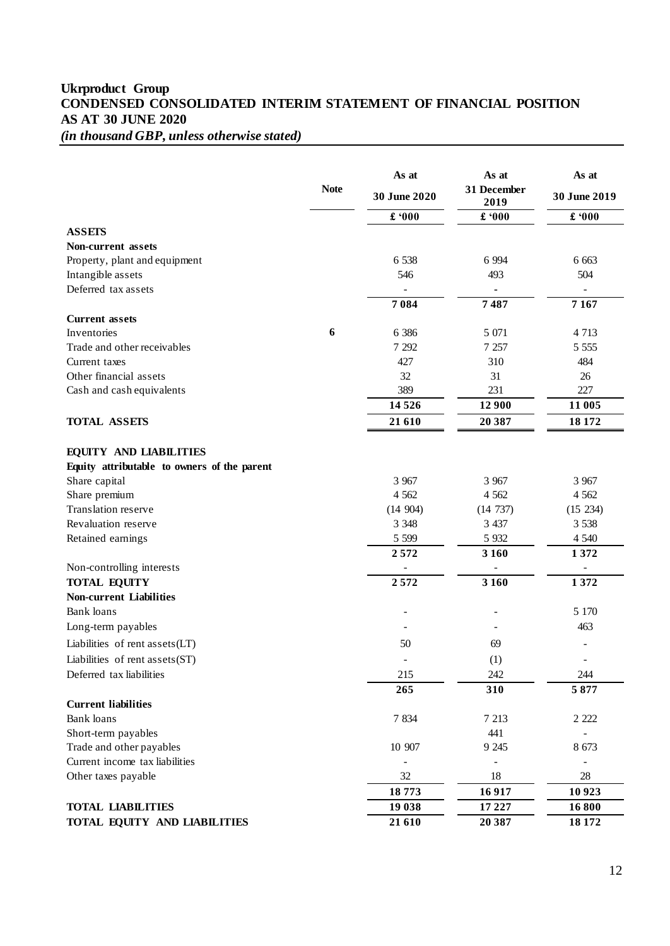## <span id="page-11-0"></span>**Ukrproduct Group CONDENSED CONSOLIDATED INTERIM STATEMENT OF FINANCIAL POSITION AS AT 30 JUNE 2020** *(in thousand GBP, unless otherwise stated)*

|                                             |             | As at                    | As at               | As at                    |  |
|---------------------------------------------|-------------|--------------------------|---------------------|--------------------------|--|
|                                             | <b>Note</b> | 30 June 2020             | 31 December<br>2019 | 30 June 2019             |  |
|                                             |             | £ 000                    | £ 000               | £ 000                    |  |
| <b>ASSETS</b>                               |             |                          |                     |                          |  |
| <b>Non-current assets</b>                   |             |                          |                     |                          |  |
| Property, plant and equipment               |             | 6 5 38                   | 6 9 9 4             | 6 6 6 3                  |  |
| Intangible assets                           |             | 546                      | 493                 | 504                      |  |
| Deferred tax assets                         |             | $\overline{\phantom{0}}$ |                     | $\Box$                   |  |
|                                             |             | 7084                     | 7487                | 7167                     |  |
| <b>Current</b> assets                       |             |                          |                     |                          |  |
| Inventories                                 | 6           | 6 3 8 6                  | 5 0 7 1             | 4 7 1 3                  |  |
| Trade and other receivables                 |             | 7 2 9 2                  | 7 2 5 7             | 5 5 5 5 5                |  |
| Current taxes                               |             | 427                      | 310                 | 484                      |  |
| Other financial assets                      |             | 32                       | 31                  | 26                       |  |
| Cash and cash equivalents                   |             | 389                      | 231                 | 227                      |  |
|                                             |             | 14526                    | 12 900              | 11 005                   |  |
| <b>TOTAL ASSETS</b>                         |             | 21 610                   | 20 387              | 18 17 2                  |  |
|                                             |             |                          |                     |                          |  |
| <b>EQUITY AND LIABILITIES</b>               |             |                          |                     |                          |  |
| Equity attributable to owners of the parent |             |                          |                     |                          |  |
| Share capital                               |             | 3 9 6 7                  | 3 9 6 7             | 3 9 6 7                  |  |
| Share premium                               |             | 4 5 6 2                  | 4 5 6 2             | 4 5 6 2                  |  |
| Translation reserve                         |             | (14904)                  | (14737)             | (15 234)                 |  |
| Revaluation reserve                         |             | 3 3 4 8                  | 3 4 3 7             | 3 5 3 8                  |  |
| Retained earnings                           |             | 5 5 9 9                  | 5 9 3 2             | 4 5 4 0                  |  |
|                                             |             | 2572                     | 3 1 6 0             | 1372                     |  |
| Non-controlling interests                   |             |                          |                     |                          |  |
| <b>TOTAL EQUITY</b>                         |             | 2572                     | 3 1 6 0             | 1372                     |  |
| <b>Non-current Liabilities</b>              |             |                          |                     |                          |  |
| <b>Bank</b> loans                           |             | $\overline{\phantom{m}}$ | $\overline{a}$      | 5 1 7 0                  |  |
| Long-term payables                          |             |                          |                     | 463                      |  |
| Liabilities of rent assets (LT)             |             | 50                       | 69                  |                          |  |
| Liabilities of rent assets (ST)             |             | $\overline{\phantom{m}}$ | (1)                 | $\overline{\phantom{a}}$ |  |
| Deferred tax liabilities                    |             | 215                      | 242                 | 244                      |  |
|                                             |             | 265                      | 310                 | 5877                     |  |
| <b>Current liabilities</b>                  |             |                          |                     |                          |  |
| Bank loans                                  |             | 7834                     | 7 2 1 3             | 2 2 2 2                  |  |
| Short-term payables                         |             |                          | 441                 |                          |  |
| Trade and other payables                    |             | 10 907                   | 9 2 45              | 8 6 7 3                  |  |
| Current income tax liabilities              |             |                          |                     |                          |  |
| Other taxes payable                         |             | 32                       | 18                  | 28                       |  |
|                                             |             | 18773                    | 16917               | 10 9 23                  |  |
| <b>TOTAL LIABILITIES</b>                    |             | 19 038                   | 17 227              | 16800                    |  |
| TOTAL EQUITY AND LIABILITIES                |             | 21 610                   | 20 387              | 18 17 2                  |  |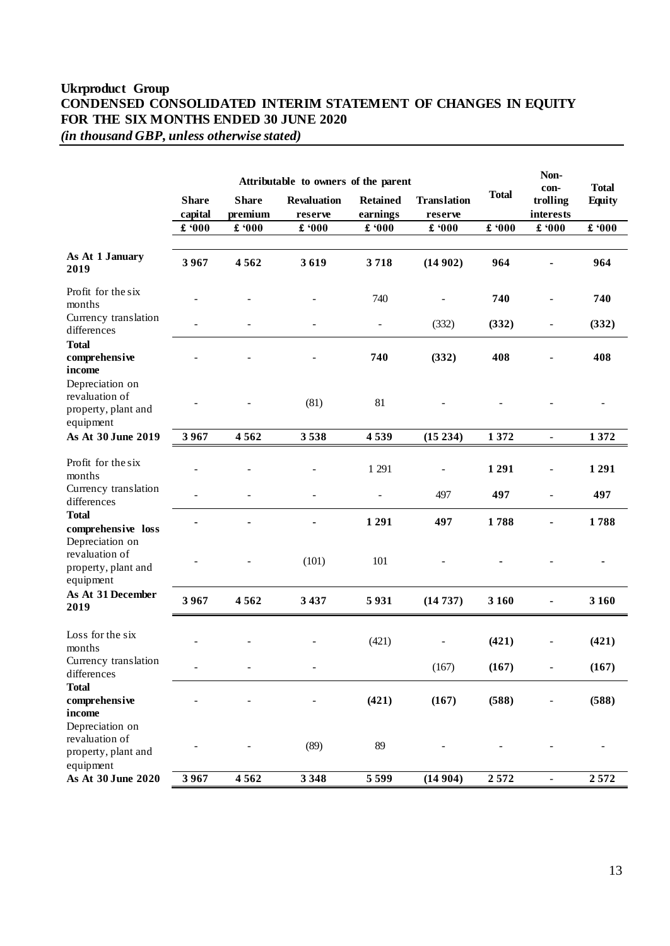## **Ukrproduct Group CONDENSED CONSOLIDATED INTERIM STATEMENT OF CHANGES IN EQUITY FOR THE SIX MONTHS ENDED 30 JUNE 2020** *(in thousand GBP, unless otherwise stated)*

|                                                                       | Attributable to owners of the parent |                                |                               |                             |                               |              | Non-<br>con-             | <b>Total</b>  |
|-----------------------------------------------------------------------|--------------------------------------|--------------------------------|-------------------------------|-----------------------------|-------------------------------|--------------|--------------------------|---------------|
|                                                                       | <b>Share</b><br>capital              | <b>Share</b><br>premium        | <b>Revaluation</b><br>reserve | <b>Retained</b><br>earnings | <b>Translation</b><br>reserve | <b>Total</b> | trolling<br>interests    | <b>Equity</b> |
|                                                                       | $\pmb{\pounds}$ '000                 | $\pmb{\text{\textbf{f}}}$ '000 | $\pounds 000$                 | $\pounds$ '000              | $\pmb{\pounds}$ '000          | £ 000        | $\pmb{\pounds}$ '000     | £ 000         |
| As At 1 January<br>2019                                               | 3967                                 | 4562                           | 3619                          | 3718                        | (14902)                       | 964          |                          | 964           |
| Profit for the six<br>months                                          |                                      |                                |                               | 740                         | $\qquad \qquad \blacksquare$  | 740          |                          | 740           |
| Currency translation<br>differences                                   |                                      |                                | ۰                             | $\overline{\phantom{a}}$    | (332)                         | (332)        | ÷,                       | (332)         |
| <b>Total</b><br>comprehensive<br>income<br>Depreciation on            |                                      |                                |                               | 740                         | (332)                         | 408          |                          | 408           |
| revaluation of<br>property, plant and<br>equipment                    |                                      |                                | (81)                          | 81                          |                               |              |                          |               |
| As At 30 June 2019                                                    | 3967                                 | 4562                           | 3538                          | 4539                        | (15234)                       | 1372         | $\overline{\phantom{0}}$ | 1372          |
| Profit for the six<br>months                                          |                                      |                                |                               | 1 2 9 1                     | $\overline{\phantom{a}}$      | 1291         | ÷,                       | 1291          |
| Currency translation<br>differences                                   |                                      |                                | $\overline{\phantom{a}}$      | $\frac{1}{2}$               | 497                           | 497          | $\overline{\phantom{0}}$ | 497           |
| <b>Total</b><br>comprehensive loss<br>Depreciation on                 |                                      |                                |                               | 1291                        | 497                           | 1788         | ٠                        | 1788          |
| revaluation of<br>property, plant and<br>equipment                    |                                      |                                | (101)                         | 101                         |                               |              |                          |               |
| As At 31 December<br>2019                                             | 3967                                 | 4562                           | 3437                          | 5931                        | (14737)                       | 3 1 6 0      |                          | 3 1 6 0       |
| Loss for the six<br>months                                            |                                      |                                |                               | (421)                       |                               | (421)        |                          | (421)         |
| Currency translation<br>differences                                   | ÷                                    | $\blacksquare$                 | $\overline{\phantom{a}}$      |                             | (167)                         | (167)        | ÷,                       | (167)         |
| <b>Total</b><br>comprehensive<br>income                               |                                      |                                |                               | (421)                       | (167)                         | (588)        |                          | (588)         |
| Depreciation on<br>revaluation of<br>property, plant and<br>equipment |                                      |                                | (89)                          | 89                          |                               |              |                          |               |
| As At 30 June 2020                                                    | 3967                                 | 4562                           | 3 3 4 8                       | 5 5 9 9                     | (14904)                       | 2572         | $\overline{\phantom{0}}$ | 2572          |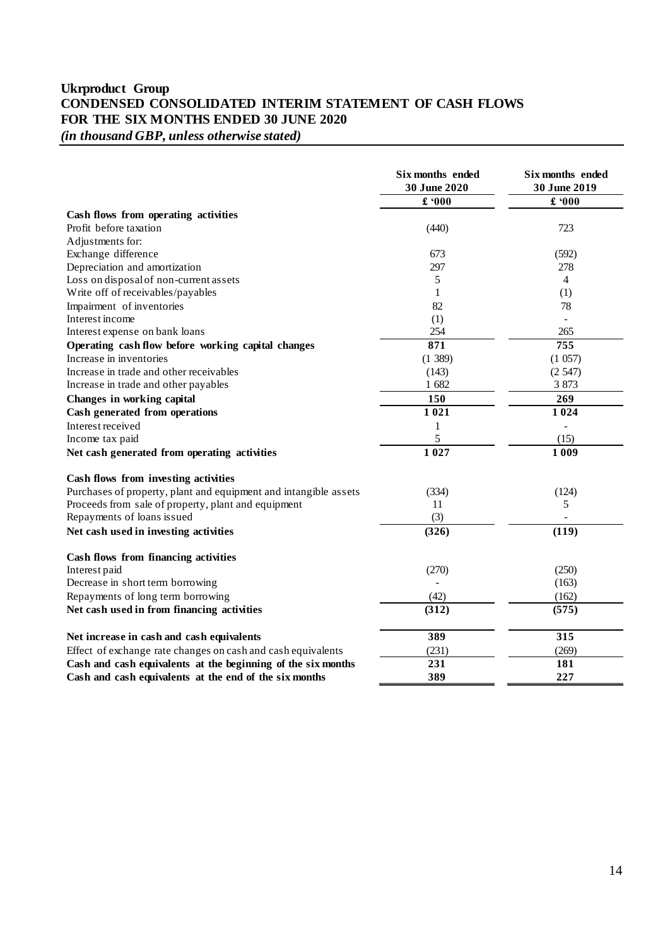## <span id="page-13-0"></span>**Ukrproduct Group CONDENSED CONSOLIDATED INTERIM STATEMENT OF CASH FLOWS FOR THE SIX MONTHS ENDED 30 JUNE 2020** *(in thousand GBP, unless otherwise stated)*

|                                                                  | Six months ended<br>30 June 2020 | Six months ended<br>30 June 2019 |
|------------------------------------------------------------------|----------------------------------|----------------------------------|
|                                                                  | $\pounds$ '000                   | $\pounds 000$                    |
| Cash flows from operating activities                             |                                  |                                  |
| Profit before taxation                                           | (440)                            | 723                              |
| Adjustments for:                                                 |                                  |                                  |
| Exchange difference                                              | 673                              | (592)                            |
| Depreciation and amortization                                    | 297                              | 278                              |
| Loss on disposal of non-current assets                           | 5                                | 4                                |
| Write off of receivables/payables                                | $\mathbf{1}$                     | (1)                              |
| Impairment of inventories                                        | 82                               | 78                               |
| Interest income                                                  | (1)                              | $\overline{a}$                   |
| Interest expense on bank loans                                   | 254                              | 265                              |
| Operating cash flow before working capital changes               | 871                              | 755                              |
| Increase in inventories                                          | (1389)                           | (1057)                           |
| Increase in trade and other receivables                          | (143)                            | (2547)                           |
| Increase in trade and other payables                             | 1 682                            | 3 8 7 3                          |
| Changes in working capital                                       | 150                              | 269                              |
| Cash generated from operations                                   | 1021                             | 1024                             |
| Interest received                                                | 1                                | $\overline{a}$                   |
| Income tax paid                                                  | 5                                | (15)                             |
| Net cash generated from operating activities                     | 1027                             | 1 0 0 9                          |
| Cash flows from investing activities                             |                                  |                                  |
| Purchases of property, plant and equipment and intangible assets | (334)                            | (124)                            |
| Proceeds from sale of property, plant and equipment              | 11                               | 5                                |
| Repayments of loans issued                                       | (3)                              |                                  |
| Net cash used in investing activities                            | (326)                            | (119)                            |
| Cash flows from financing activities                             |                                  |                                  |
| Interest paid                                                    | (270)                            | (250)                            |
| Decrease in short term borrowing                                 |                                  | (163)                            |
| Repayments of long term borrowing                                | (42)                             | (162)                            |
| Net cash used in from financing activities                       | (312)                            | (575)                            |
| Net increase in cash and cash equivalents                        | 389                              | 315                              |
| Effect of exchange rate changes on cash and cash equivalents     | (231)                            | (269)                            |
| Cash and cash equivalents at the beginning of the six months     | 231                              | 181                              |
| Cash and cash equivalents at the end of the six months           | 389                              | 227                              |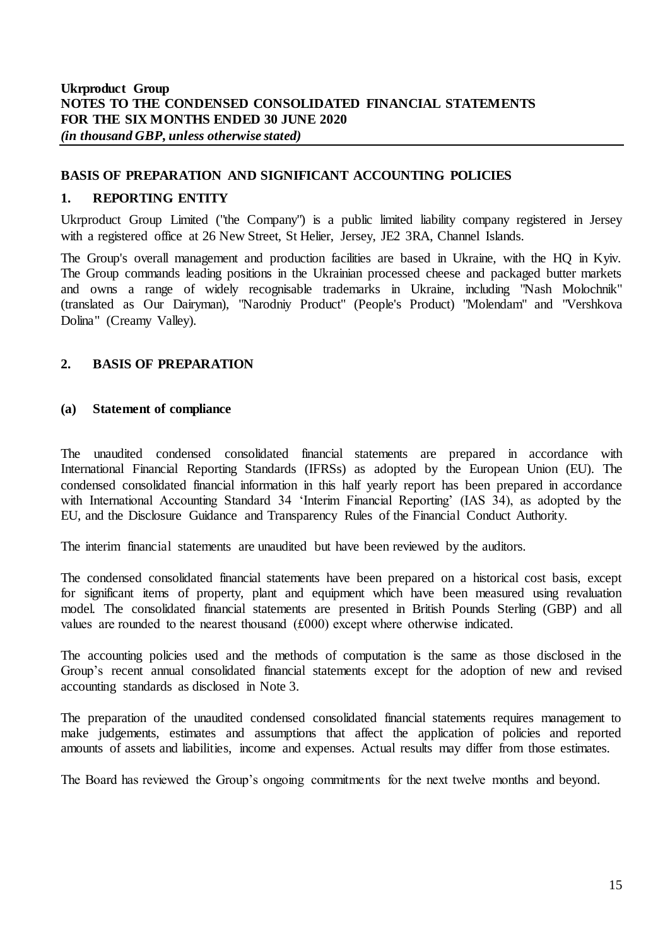## <span id="page-14-0"></span>**BASIS OF PREPARATION AND SIGNIFICANT ACCOUNTING POLICIES**

## **1. REPORTING ENTITY**

Ukrproduct Group Limited ("the Company") is a public limited liability company registered in Jersey with a registered office at 26 New Street, St Helier, Jersey, JE2 3RA, Channel Islands.

The Group's overall management and production facilities are based in Ukraine, with the HQ in Kyiv. The Group commands leading positions in the Ukrainian processed cheese and packaged butter markets and owns a range of widely recognisable trademarks in Ukraine, including "Nash Molochnik" (translated as Our Dairyman), "Narodniy Product" (People's Product) "Molendam" and "Vershkova Dolina" (Creamy Valley).

#### **2. BASIS OF PREPARATION**

#### **(a) Statement of compliance**

The unaudited condensed consolidated financial statements are prepared in accordance with International Financial Reporting Standards (IFRSs) as adopted by the European Union (EU). The condensed consolidated financial information in this half yearly report has been prepared in accordance with International Accounting Standard 34 'Interim Financial Reporting' (IAS 34), as adopted by the EU, and the Disclosure Guidance and Transparency Rules of the Financial Conduct Authority.

The interim financial statements are unaudited but have been reviewed by the auditors.

The condensed consolidated financial statements have been prepared on a historical cost basis, except for significant items of property, plant and equipment which have been measured using revaluation model. The consolidated financial statements are presented in British Pounds Sterling (GBP) and all values are rounded to the nearest thousand (£000) except where otherwise indicated.

The accounting policies used and the methods of computation is the same as those disclosed in the Group's recent annual consolidated financial statements except for the adoption of new and revised accounting standards as disclosed in Note 3.

The preparation of the unaudited condensed consolidated financial statements requires management to make judgements, estimates and assumptions that affect the application of policies and reported amounts of assets and liabilities, income and expenses. Actual results may differ from those estimates.

The Board has reviewed the Group's ongoing commitments for the next twelve months and beyond.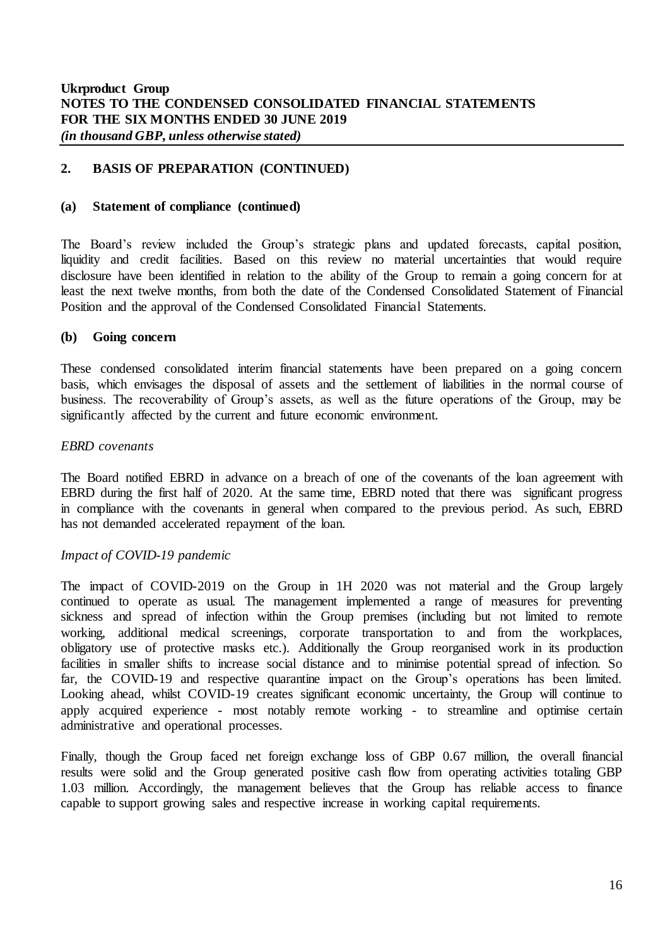### **2. BASIS OF PREPARATION (CONTINUED)**

#### **(a) Statement of compliance (continued)**

The Board's review included the Group's strategic plans and updated forecasts, capital position, liquidity and credit facilities. Based on this review no material uncertainties that would require disclosure have been identified in relation to the ability of the Group to remain a going concern for at least the next twelve months, from both the date of the Condensed Consolidated Statement of Financial Position and the approval of the Condensed Consolidated Financial Statements.

#### **(b) Going concern**

These condensed consolidated interim financial statements have been prepared on a going concern basis, which envisages the disposal of assets and the settlement of liabilities in the normal course of business. The recoverability of Group's assets, as well as the future operations of the Group, may be significantly affected by the current and future economic environment.

#### *EBRD covenants*

The Board notified EBRD in advance on a breach of one of the covenants of the loan agreement with EBRD during the first half of 2020. At the same time, EBRD noted that there was significant progress in compliance with the covenants in general when compared to the previous period. As such, EBRD has not demanded accelerated repayment of the loan.

#### *Impact of COVID-19 pandemic*

The impact of COVID-2019 on the Group in 1H 2020 was not material and the Group largely continued to operate as usual. The management implemented a range of measures for preventing sickness and spread of infection within the Group premises (including but not limited to remote working, additional medical screenings, corporate transportation to and from the workplaces, obligatory use of protective masks etc.). Additionally the Group reorganised work in its production facilities in smaller shifts to increase social distance and to minimise potential spread of infection. So far, the COVID-19 and respective quarantine impact on the Group's operations has been limited. Looking ahead, whilst COVID-19 creates significant economic uncertainty, the Group will continue to apply acquired experience - most notably remote working - to streamline and optimise certain administrative and operational processes.

Finally, though the Group faced net foreign exchange loss of GBP 0.67 million, the overall financial results were solid and the Group generated positive cash flow from operating activities totaling GBP 1.03 million. Accordingly, the management believes that the Group has reliable access to finance capable to support growing sales and respective increase in working capital requirements.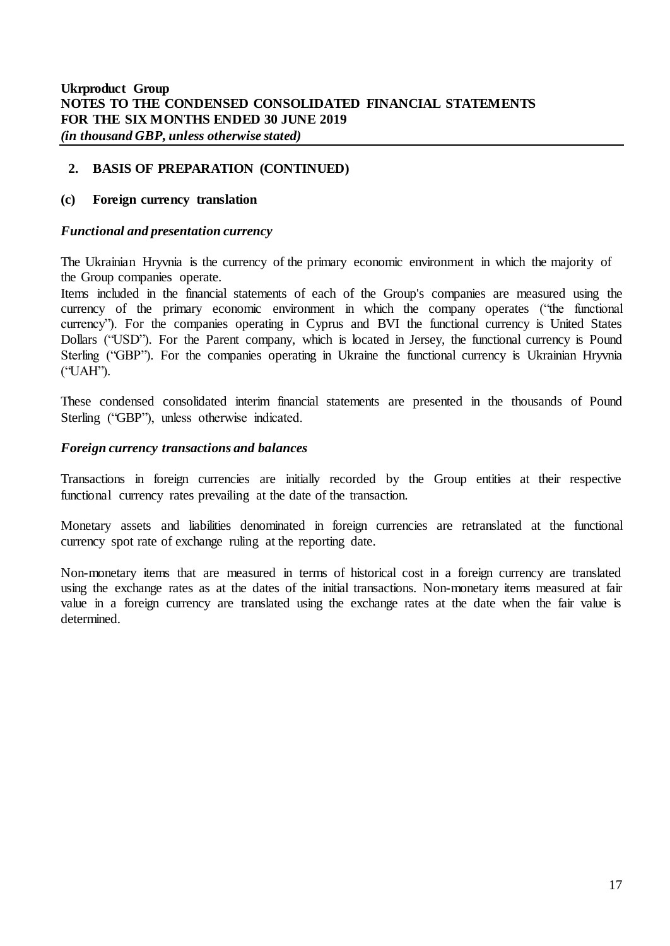## **2. BASIS OF PREPARATION (CONTINUED)**

#### **(c) Foreign currency translation**

#### *Functional and presentation currency*

The Ukrainian Hryvnia is the currency of the primary economic environment in which the majority of the Group companies operate.

Items included in the financial statements of each of the Group's companies are measured using the currency of the primary economic environment in which the company operates ("the functional currency"). For the companies operating in Cyprus and BVI the functional currency is United States Dollars ("USD"). For the Parent company, which is located in Jersey, the functional currency is Pound Sterling ("GBP"). For the companies operating in Ukraine the functional currency is Ukrainian Hryvnia ("UAH").

These condensed consolidated interim financial statements are presented in the thousands of Pound Sterling ("GBP"), unless otherwise indicated.

#### *Foreign currency transactions and balances*

Transactions in foreign currencies are initially recorded by the Group entities at their respective functional currency rates prevailing at the date of the transaction.

Monetary assets and liabilities denominated in foreign currencies are retranslated at the functional currency spot rate of exchange ruling at the reporting date.

Non-monetary items that are measured in terms of historical cost in a foreign currency are translated using the exchange rates as at the dates of the initial transactions. Non-monetary items measured at fair value in a foreign currency are translated using the exchange rates at the date when the fair value is determined.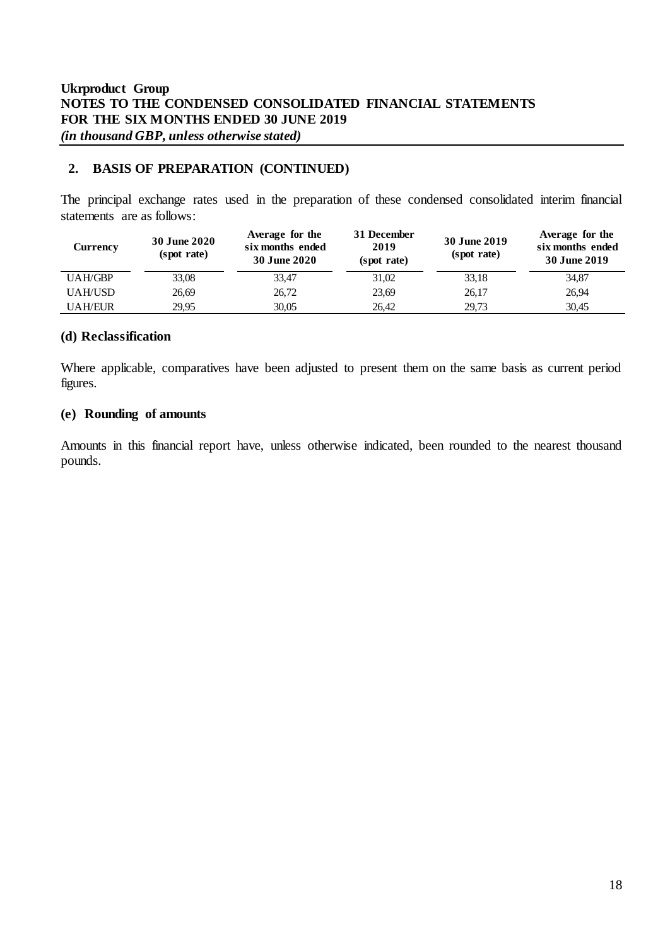## **2. BASIS OF PREPARATION (CONTINUED)**

The principal exchange rates used in the preparation of these condensed consolidated interim financial statements are as follows:

| <b>Currency</b> | <b>30 June 2020</b><br>(spot rate) | Average for the<br>six months ended<br><b>30 June 2020</b> | 31 December<br>2019<br>(spot rate) | 30 June 2019<br>(spot rate) | Average for the<br>six months ended<br>30 June 2019 |
|-----------------|------------------------------------|------------------------------------------------------------|------------------------------------|-----------------------------|-----------------------------------------------------|
| <b>UAH/GBP</b>  | 33,08                              | 33,47                                                      | 31,02                              | 33,18                       | 34,87                                               |
| <b>UAH/USD</b>  | 26,69                              | 26,72                                                      | 23,69                              | 26,17                       | 26,94                                               |
| <b>UAH/EUR</b>  | 29.95                              | 30.05                                                      | 26.42                              | 29.73                       | 30.45                                               |

### **(d) Reclassification**

Where applicable, comparatives have been adjusted to present them on the same basis as current period figures.

#### **(e) Rounding of amounts**

Amounts in this financial report have, unless otherwise indicated, been rounded to the nearest thousand pounds.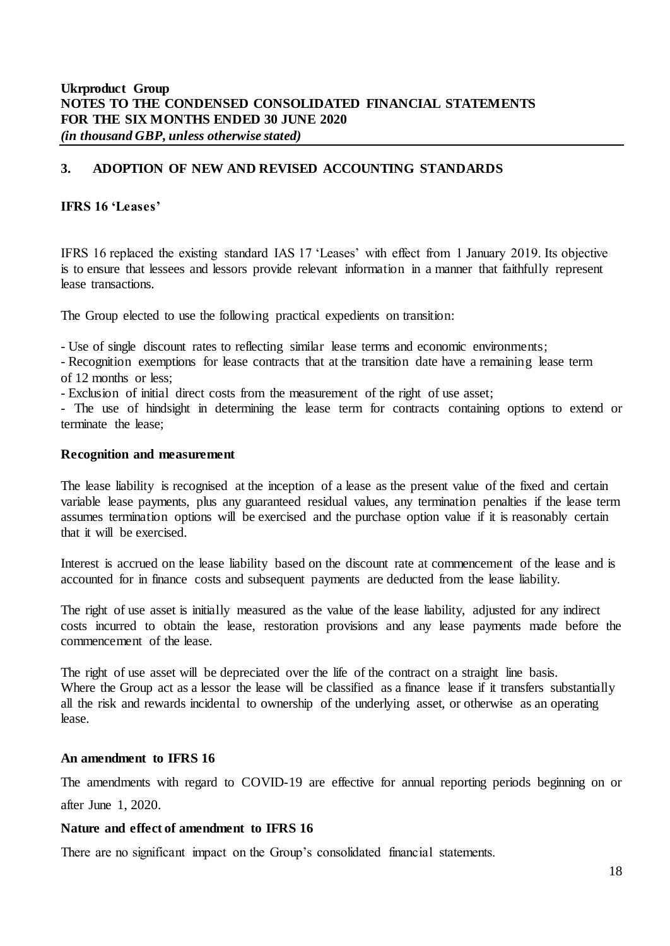### **3. ADOPTION OF NEW AND REVISED ACCOUNTING STANDARDS**

### **IFRS 16 'Leases'**

IFRS 16 replaced the existing standard IAS 17 'Leases' with effect from 1 January 2019. Its objective is to ensure that lessees and lessors provide relevant information in a manner that faithfully represent lease transactions.

The Group elected to use the following practical expedients on transition:

- Use of single discount rates to reflecting similar lease terms and economic environments;

- Recognition exemptions for lease contracts that at the transition date have a remaining lease term of 12 months or less;

- Exclusion of initial direct costs from the measurement of the right of use asset;

- The use of hindsight in determining the lease term for contracts containing options to extend or terminate the lease;

#### **Recognition and measurement**

The lease liability is recognised at the inception of a lease as the present value of the fixed and certain variable lease payments, plus any guaranteed residual values, any termination penalties if the lease term assumes termination options will be exercised and the purchase option value if it is reasonably certain that it will be exercised.

Interest is accrued on the lease liability based on the discount rate at commencement of the lease and is accounted for in finance costs and subsequent payments are deducted from the lease liability.

The right of use asset is initially measured as the value of the lease liability, adjusted for any indirect costs incurred to obtain the lease, restoration provisions and any lease payments made before the commencement of the lease.

The right of use asset will be depreciated over the life of the contract on a straight line basis. Where the Group act as a lessor the lease will be classified as a finance lease if it transfers substantially all the risk and rewards incidental to ownership of the underlying asset, or otherwise as an operating lease.

#### **An amendment to IFRS 16**

The amendments with regard to COVID-19 are effective for annual reporting periods beginning on or after June 1, 2020.

#### **Nature and effect of amendment to IFRS 16**

There are no significant impact on the Group's consolidated financial statements.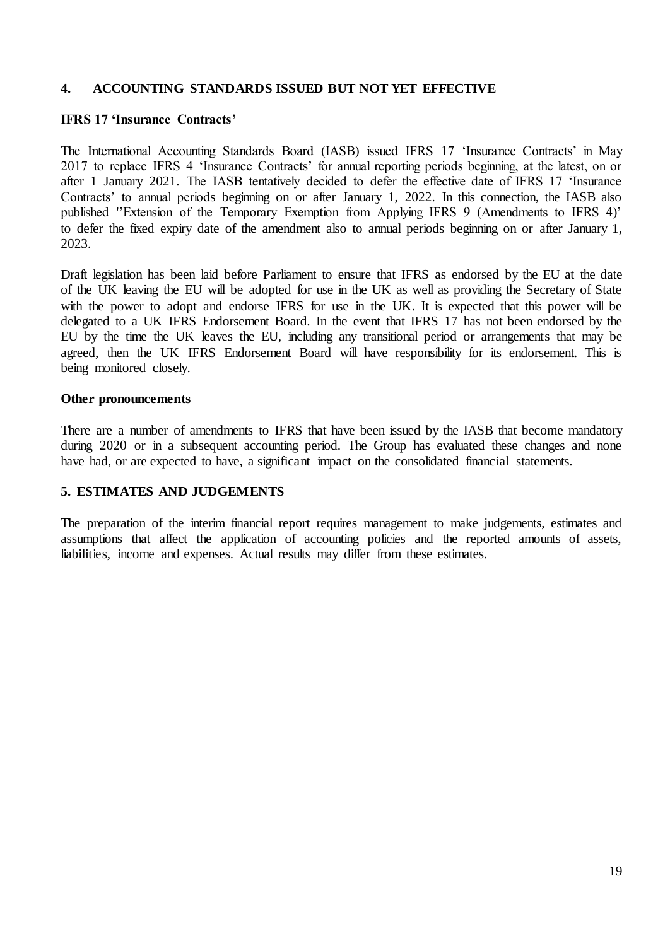### **4. ACCOUNTING STANDARDS ISSUED BUT NOT YET EFFECTIVE**

### **IFRS 17 'Insurance Contracts'**

The International Accounting Standards Board (IASB) issued IFRS 17 'Insurance Contracts' in May 2017 to replace IFRS 4 'Insurance Contracts' for annual reporting periods beginning, at the latest, on or after 1 January 2021. The IASB tentatively decided to defer the effective date of IFRS 17 'Insurance Contracts' to annual periods beginning on or after January 1, 2022. In this connection, the IASB also published ''Extension of the Temporary Exemption from Applying IFRS 9 (Amendments to IFRS 4)' to defer the fixed expiry date of the amendment also to annual periods beginning on or after January 1, 2023.

Draft legislation has been laid before Parliament to ensure that IFRS as endorsed by the EU at the date of the UK leaving the EU will be adopted for use in the UK as well as providing the Secretary of State with the power to adopt and endorse IFRS for use in the UK. It is expected that this power will be delegated to a UK IFRS Endorsement Board. In the event that IFRS 17 has not been endorsed by the EU by the time the UK leaves the EU, including any transitional period or arrangements that may be agreed, then the UK IFRS Endorsement Board will have responsibility for its endorsement. This is being monitored closely.

#### **Other pronouncements**

There are a number of amendments to IFRS that have been issued by the IASB that become mandatory during 2020 or in a subsequent accounting period. The Group has evaluated these changes and none have had, or are expected to have, a significant impact on the consolidated financial statements.

#### **5. ESTIMATES AND JUDGEMENTS**

The preparation of the interim financial report requires management to make judgements, estimates and assumptions that affect the application of accounting policies and the reported amounts of assets, liabilities, income and expenses. Actual results may differ from these estimates.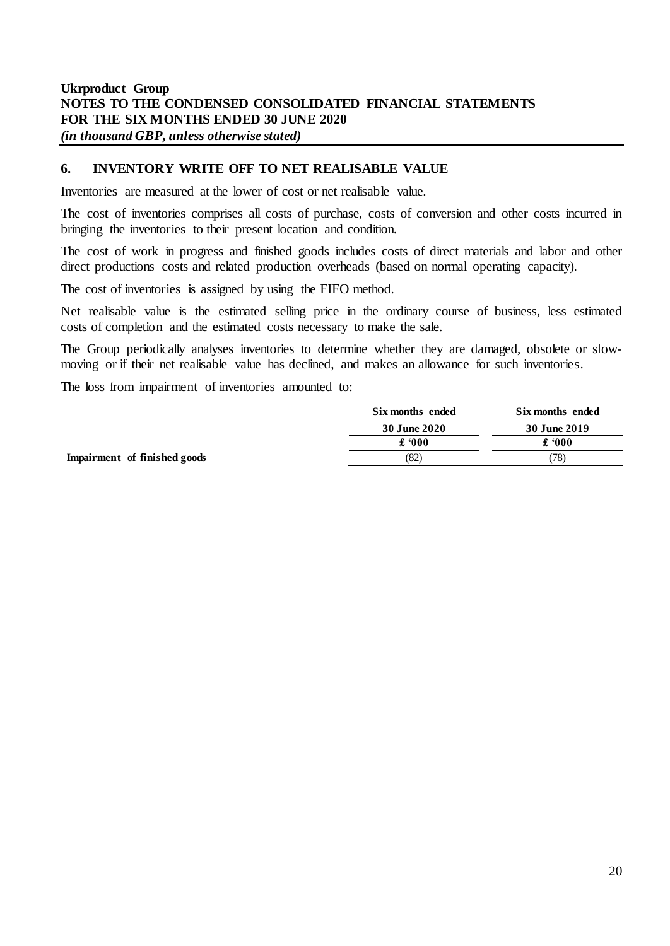### **6. INVENTORY WRITE OFF TO NET REALISABLE VALUE**

Inventories are measured at the lower of cost or net realisable value.

The cost of inventories comprises all costs of purchase, costs of conversion and other costs incurred in bringing the inventories to their present location and condition.

The cost of work in progress and finished goods includes costs of direct materials and labor and other direct productions costs and related production overheads (based on normal operating capacity).

The cost of inventories is assigned by using the FIFO method.

Net realisable value is the estimated selling price in the ordinary course of business, less estimated costs of completion and the estimated costs necessary to make the sale.

The Group periodically analyses inventories to determine whether they are damaged, obsolete or slowmoving or if their net realisable value has declined, and makes an allowance for such inventories.

The loss from impairment of inventories amounted to:

|                              | Six months ended | Six months ended |
|------------------------------|------------------|------------------|
|                              | 30 June 2020     | 30 June 2019     |
|                              | £ '000           | £ '000           |
| Impairment of finished goods | (82)             | (78)             |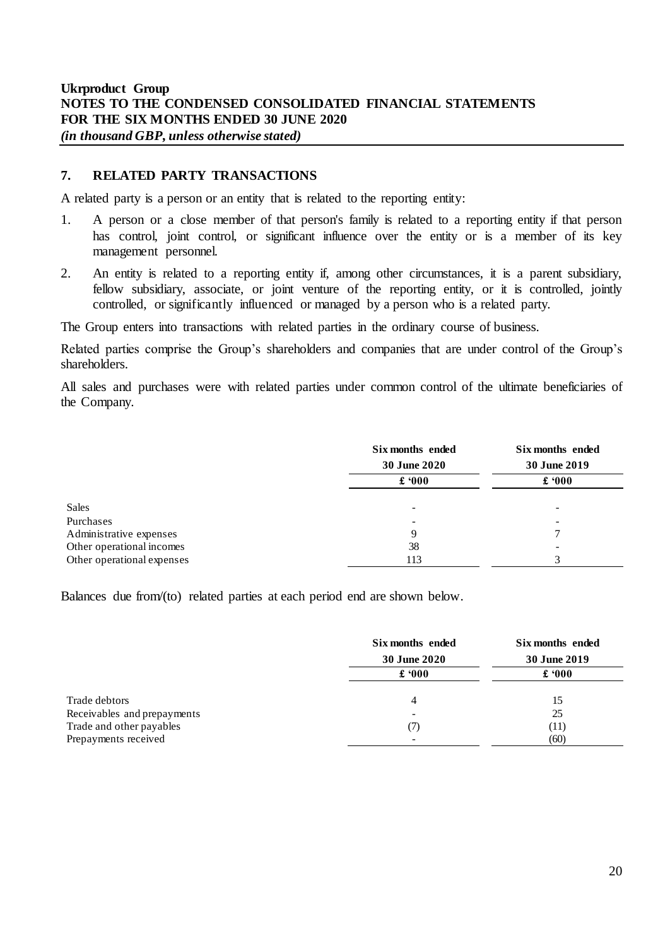## **7. RELATED PARTY TRANSACTIONS**

A related party is a person or an entity that is related to the reporting entity:

- 1. A person or a close member of that person's family is related to a reporting entity if that person has control, joint control, or significant influence over the entity or is a member of its key management personnel.
- 2. An entity is related to a reporting entity if, among other circumstances, it is a parent subsidiary, fellow subsidiary, associate, or joint venture of the reporting entity, or it is controlled, jointly controlled, or significantly influenced or managed by a person who is a related party.

The Group enters into transactions with related parties in the ordinary course of business.

Related parties comprise the Group's shareholders and companies that are under control of the Group's shareholders.

All sales and purchases were with related parties under common control of the ultimate beneficiaries of the Company.

|                            | Six months ended<br>30 June 2020<br>$\pounds 000$ | Six months ended<br>30 June 2019<br>$\pounds 000$ |
|----------------------------|---------------------------------------------------|---------------------------------------------------|
| Sales                      | ٠                                                 |                                                   |
| Purchases                  |                                                   |                                                   |
| Administrative expenses    | Q                                                 |                                                   |
| Other operational incomes  | 38                                                |                                                   |
| Other operational expenses | 113                                               | 3                                                 |

Balances due from/(to) related parties at each period end are shown below.

|                             | Six months ended         | Six months ended<br>30 June 2019 |  |
|-----------------------------|--------------------------|----------------------------------|--|
|                             | 30 June 2020             |                                  |  |
|                             | $\pounds 000$            | $\pounds 000$                    |  |
| Trade debtors               | 4                        | 15                               |  |
| Receivables and prepayments | $\overline{\phantom{0}}$ | 25                               |  |
| Trade and other payables    | (7)                      | (11)                             |  |
| Prepayments received        | -                        | (60)                             |  |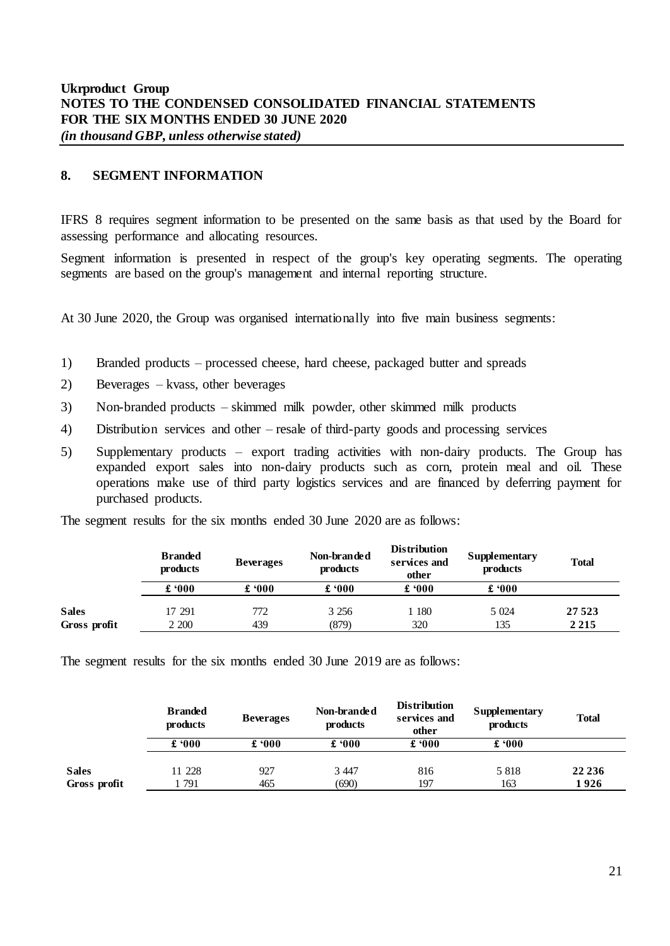### **8. SEGMENT INFORMATION**

IFRS 8 requires segment information to be presented on the same basis as that used by the Board for assessing performance and allocating resources.

Segment information is presented in respect of the group's key operating segments. The operating segments are based on the group's management and internal reporting structure.

At 30 June 2020, the Group was organised internationally into five main business segments:

- 1) Branded products processed cheese, hard cheese, packaged butter and spreads
- 2) Beverages kvass, other beverages
- 3) Non-branded products skimmed milk powder, other skimmed milk products
- 4) Distribution services and other resale of third-party goods and processing services
- 5) Supplementary products export trading activities with non-dairy products. The Group has expanded export sales into non-dairy products such as corn, protein meal and oil. These operations make use of third party logistics services and are financed by deferring payment for purchased products.

|  |  | The segment results for the six months ended 30 June 2020 are as follows: |  |
|--|--|---------------------------------------------------------------------------|--|
|  |  |                                                                           |  |

|              | <b>Branded</b><br>products | <b>Beverages</b> | Non-branded<br>products | <b>Distribution</b><br>services and<br>other | Supplementary<br>products | <b>Total</b> |  |
|--------------|----------------------------|------------------|-------------------------|----------------------------------------------|---------------------------|--------------|--|
|              | £ $000$                    | £ $000$          | £ '000                  | £ ' $000$                                    | £ $000$                   |              |  |
| <b>Sales</b> | 17 291                     | 772              | 3 2 5 6                 | 1 180                                        | 5 0 24                    | 27 5 23      |  |
| Gross profit | 2 200                      | 439              | (879)                   | 320                                          | 135                       | 2 2 1 5      |  |
|              |                            |                  |                         |                                              |                           |              |  |

The segment results for the six months ended 30 June 2019 are as follows:

|                              | <b>Branded</b><br>products | <b>Beverages</b> | Non-branded<br>products | <b>Distribution</b><br>services and<br>other | <b>Supplementary</b><br>products | <b>Total</b>     |
|------------------------------|----------------------------|------------------|-------------------------|----------------------------------------------|----------------------------------|------------------|
|                              | £ $000$                    | £ $000$          | £ $000$                 | £ 000                                        | $\pounds 000$                    |                  |
| <b>Sales</b><br>Gross profit | 11 228<br>791              | 927<br>465       | 3 4 4 7<br>(690)        | 816<br>197                                   | 5 8 1 8<br>163                   | 22 2 3 6<br>1926 |